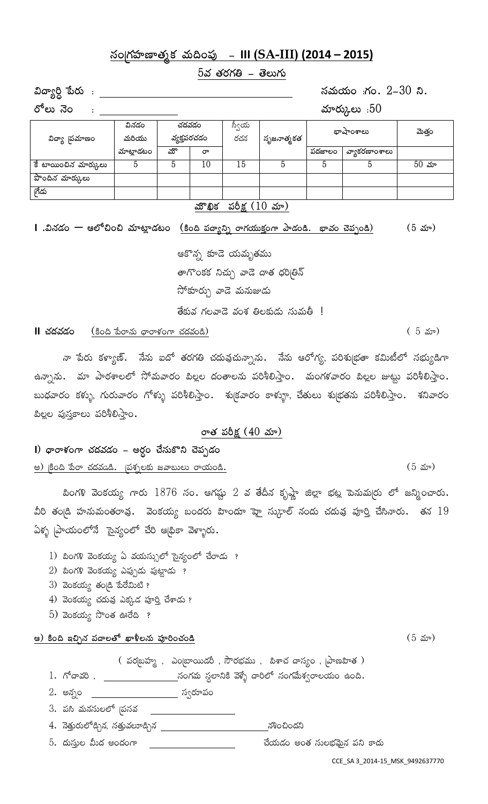# **¿xªZgâÝßéÇéyâWdâ Àâ°¬ª~ßó - III (SA-III) (2014 – 2015)**

 $5$ వ తరగతి – తెలుగు

**Æ{ÖXîP ~öpâ° : ¿xÀâ°Îâ°ª :gâª. 2-30 ¾.**

**p¨È° ×êª : ÀâÃépâ°ýȰ :50**

| విద్యా 'పమాణం        | వినడం<br>మరియు | వ్యక్తపరచడం | చదవడం                  | స్వీయ<br>రచన                       | సృజనాత్మకత |        | భాషాంశాలు     | మెత్తం      |
|----------------------|----------------|-------------|------------------------|------------------------------------|------------|--------|---------------|-------------|
|                      | మాట్లాడటం      | యొ          | రా                     |                                    |            | పదజాలం | వ్యాకరణాంశాలు |             |
| కే టాయించిన మార్కులు |                |             | 10                     | 15                                 |            |        |               | $50 \; x$ ూ |
| పొందిన మార్కులు      |                |             |                        |                                    |            |        |               |             |
| గేడు                 |                |             |                        |                                    |            |        |               |             |
|                      |                |             | $\mathcal{R}^{\infty}$ | $\langle A \times (10, 1) \rangle$ |            |        |               |             |

### <u>మౌఖిక పరిక్ష (10 మా)</u>

**I** .వినడం — ఆలోచించి మాట్లాడటం <u>(కింది పద్యాన్ని రాగయుక్తంగా పాడండి. భావం చెప్పండి) (5 మా)</u>

ఆకొన్న కూడె యమృతము తాగొంకక నిచ్చు వాడె దాత ధరిబ్రిన్ సోకూర్చు *వా*డె మనుజుడు తేకువ గలవాడె వంశ తిలకుడు సుమతీ !

**II** *k***á{ááo** (కింది కేురాను థారాళంగా చదవండి) ( 5 నూ)

నా పేరు కళ్యాణ్. నేను ఐదో తరగతి చదువుచున్నాను. నేను ఆరోగ్య, పరిశుభతా కమిటీలో సభ్యుడిగా ఉన్నాను. మా పాఠశాలలో సోమవారం పిల్లల దంతాలను పరిశీలిస్తాం. మంగళవారం పిల్లల జుట్టు పరిశీలిస్తాం. బుధవారం కళ్ళు, గురువారం గోళ్ళు పరిశీలిస్తాం. శు∣కవారం కాళ్ళూ, చేతులు శు∣భతను పరిశీలిస్తాం. శనివారం <u>పిల్ల</u>ల పుస్తకాలు పరిశీలిస్తాం.

#### రాత పరీక్ష (40 మా)

**I**) థారాళంగా చదవడం – అర్ధం చేసుకొని చెప్పడం <u>అ) కింది పేరా చదవడి. (పశ్నలకు జవాబులు రాయండి.</u> సంఘటన కార్తులు అందుంటాయి. (5 మా)

పింగళి వెంకయ్య గారు 1876 సం. ఆగష్టు 2 వ తేదీన కృష్ణా జిల్లా భట్ల పెనుమ(రు లో జన్మించారు. వీరి తండ్రి హనుమంతరావు. వెంకయ్య బందరు హిందూ హై సుగ్రాల్ నందు చదువు పూర్తి చేసినారు. తన  $19^{\circ}$  $\delta$ န္စ္စ ညြစတစ္ေနတာ အစားစား အိမ္မွာ အစားစား

- 1) బింగళి వెంకయ్య ఏ వయస్సులో సైన్యంలో చేరాడు ?
- $2$ ) బింగళి వెంకయ్య ఎప్పుడు పుట్టాడు ?
- $3)$   $3$ ಂకయ్య తం $a$   $a$   $a$   $a$  $a$   $b$   $c$
- 4) వెంకయ్య చదువు ఎక్కడ పూర్తి చేశాడు ?
- $5$ ) ವಂಕಯ್ಯ ನಿಂತ ಹಿರೆದಿ ?

#### **A) Ѫ¬ En+×â ~ß{ÖÈy¨ fÖù¥È×â° ~ßóÖîªkâªÚ** (5 ˉ̎)

 $\alpha$  పర[బహ్మ , ఎం[బాయిడరీ , సౌరభము , పిశాచ దాస్యం , [పాణహిత )

 $1.$  గోదావరి,  $\frac{1}{2}$  ,  $\frac{1}{2}$  ,  $\frac{1}{2}$  , సంగమ స్టలానికి వెళ్ళే దారిలో సంగమేశ్వరాలయం ఉంది.

- 2. అన్నం <u>\_\_\_\_\_\_\_\_\_\_\_\_\_\_\_\_\_\_\_</u> స్వరూపం
- 3. పసి మనసులలో ¦పసవ

4. నెత్తురులోడ్చిన, సత్తువలూడ్చిన \_\_\_\_\_\_\_\_\_\_\_\_\_\_\_\_\_\_\_\_\_\_\_\_\_\_\_\_ నశించిందని

 $5.$  దుస్తుల మీద అందంగా  $\hspace{1.5cm}$ \_\_\_\_\_\_\_\_\_\_\_\_\_\_\_\_\_\_\_\_\_\_\_\_\_\_ చేయడం అంత సులభమైన పని కాదు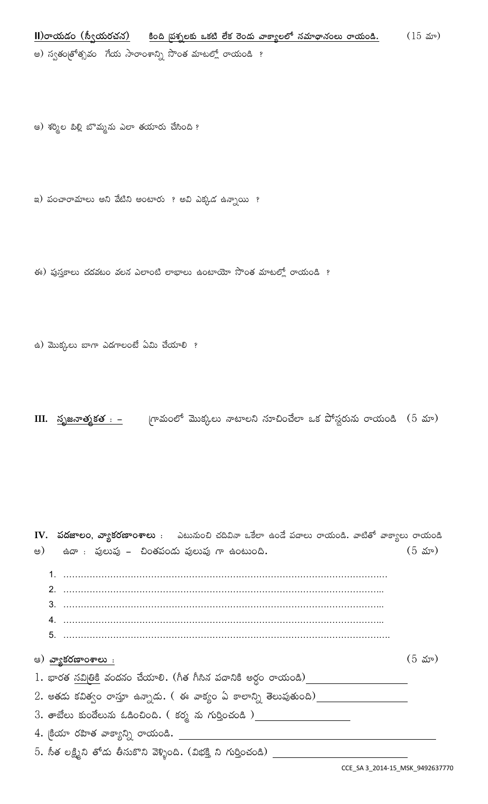**II**)రాయడం (స్వీయరచన) కింది పశ్నలకు ఒకటి లేక రెండు వాక్యాలలో నమాథానంలు రాయండి. (15 మా) అ) స్వతం<sub>[</sub>తోతృవం నేయ సారాంశాన్ని సొంత మాటల్లో రాయండి ?

ఆ) శర్మిల పిల్లి బొమ్మను ఎలా తయారు చేసింది ?

ఇ) పంచారామాలు అని వేటిని అంటారు ? అవి ఎక్కడ ఉన్నాయి ?

ఈ) పుస్తకాలు చదవటం వలన ఎలాంటి లాభాలు ఉంటాయో సొంత మాటల్లో రాయండి ?

ఉ) మొక్కలు బాగా ఎదగాలంటే ఏమి చేయాలి ?

**III. <u>సృజనాత్మకత : –</u> <sub>(</sub>గామంలో మొక్కలు నాటాలని సూచించేలా ఒక పోస్టరును రాయండి (5 మా)** 

IV. ప**దజాలం, వ్యాకరణాంశాలు** : ఎటునుంచి చదివినా ఒకేలా ఉండే పదాలు రాయండి. వాటితో వాక్యాలు రాయండి అ)  $\pm$ ఉదా : పులుపు – చింతపండు పులుపు గా $\pm$ ంటుంది.  $\pm$ ు బా $\pm$ ు (5 మా) 1. ………………………………………………………………………………………………… 2. ……………………………………………………………………………………………….. 3. ……………………………………………………………………………………………….. 4. ……………………………………………………………………………………………….. 5. …………………………………………………………………………………………………. ఆ) <mark>వ్యాకరణాంశాలు :</mark> (5 మా) 1. ÅÖpâyâ ¿xÆZ»Ñ Àâª{â×⪠káÎâÃé¶. (Ð¥yâ Ð¥û×â ~ß{Ö¾Ñ ´pâPª pÖÎâ°ªÚ)  $2.$  అతడు కవిత్వం రాస్తూ ఉన్నాడు. ( ఈ వాక్యం ఏ కాలాన్ని తెలుపుతుంది) $\_\_\_\_\_\_\_\_\_\_\_\_\_\_\_\_\_\_$ 3. తాబేలు కుందేలును ఓడించింది. ( కర్మ ను గుర్తించండి )\_\_\_\_\_\_\_\_\_\_\_\_\_\_\_\_\_\_\_\_\_\_\_\_\_\_ 4. క్రియా రహిత వాక్యాన్ని రాయండి. \_\_\_\_\_\_\_\_\_  $5.$  సీత లక్ష్మీని తోడు తీసుకొని వెళ్ళింది. (విభక్తి ని గుర్తించండి)  $\_$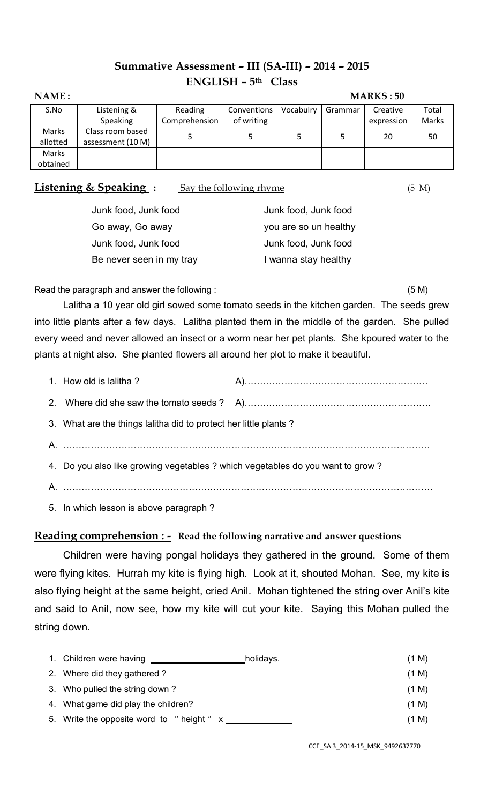# **Summative Assessment – III (SA-III) – 2014 – 2015 ENGLISH – 5 th Class**

| NAME:    | <b>MARKS: 50</b>  |               |             |           |         |            |       |  |
|----------|-------------------|---------------|-------------|-----------|---------|------------|-------|--|
| S.No     | Listening &       | Reading       | Conventions | Vocabulry | Grammar | Creative   | Total |  |
|          | Speaking          | Comprehension | of writing  |           |         | expression | Marks |  |
| Marks    | Class room based  |               |             |           |         | 20         | 50    |  |
| allotted | assessment (10 M) |               |             |           |         |            |       |  |
| Marks    |                   |               |             |           |         |            |       |  |
| obtained |                   |               |             |           |         |            |       |  |

**Listening & Speaking :** Say the following rhyme (5 M)

| Junk food, Junk food     | Junk food, Junk food  |
|--------------------------|-----------------------|
| Go away, Go away         | you are so un healthy |
| Junk food, Junk food     | Junk food, Junk food  |
| Be never seen in my tray | I wanna stay healthy  |
|                          |                       |

Read the paragraph and answer the following : (5 M)

Lalitha a 10 year old girl sowed some tomato seeds in the kitchen garden. The seeds grew into little plants after a few days. Lalitha planted them in the middle of the garden. She pulled every weed and never allowed an insect or a worm near her pet plants. She kpoured water to the plants at night also. She planted flowers all around her plot to make it beautiful.

| 1. How old is lalitha?                                                          |  |
|---------------------------------------------------------------------------------|--|
|                                                                                 |  |
| 3. What are the things lalitha did to protect her little plants?                |  |
|                                                                                 |  |
| 4. Do you also like growing vegetables ? which vegetables do you want to grow ? |  |
|                                                                                 |  |
| 5. In which lesson is above paragraph?                                          |  |

## **Reading comprehension : - Read the following narrative and answer questions**

Children were having pongal holidays they gathered in the ground. Some of them were flying kites. Hurrah my kite is flying high. Look at it, shouted Mohan. See, my kite is also flying height at the same height, cried Anil. Mohan tightened the string over Anil's kite and said to Anil, now see, how my kite will cut your kite. Saying this Mohan pulled the string down.

| 1. Children were having                  | holidays. | (1 M) |  |
|------------------------------------------|-----------|-------|--|
| 2. Where did they gathered?              |           | (1 M) |  |
| 3. Who pulled the string down?           |           | (1 M) |  |
| 4. What game did play the children?      |           | (1 M) |  |
| 5. Write the opposite word to "height" x |           | (1 M) |  |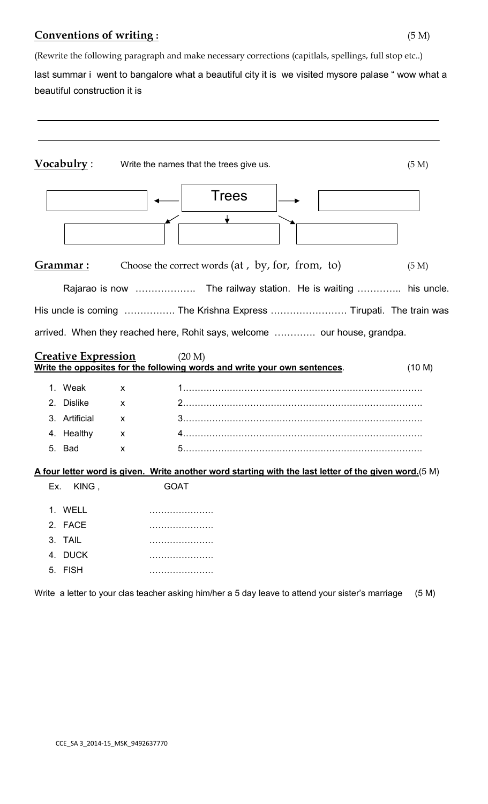# **Conventions of writing :** (5 M)

(Rewrite the following paragraph and make necessary corrections (capitlals, spellings, full stop etc..) last summar i went to bangalore what a beautiful city it is we visited mysore palase "wow what a beautiful construction it is

|     | Vocabulry:                 | Write the names that the trees give us.                                                                               | (5 M)  |
|-----|----------------------------|-----------------------------------------------------------------------------------------------------------------------|--------|
|     |                            | Trees                                                                                                                 |        |
|     | Grammar :                  | Choose the correct words (at, by, for, from, to)                                                                      | (5 M)  |
|     |                            |                                                                                                                       |        |
|     |                            | His uncle is coming  The Krishna Express  Tirupati. The train was                                                     |        |
|     |                            | arrived. When they reached here, Rohit says, welcome  our house, grandpa.                                             |        |
|     | <b>Creative Expression</b> | (20 M)<br>Write the opposites for the following words and write your own sentences.                                   |        |
|     |                            |                                                                                                                       | (10 M) |
|     | 1. Weak                    | X                                                                                                                     |        |
|     | 2. Dislike                 | X                                                                                                                     |        |
|     | 3. Artificial              | X                                                                                                                     |        |
|     | 4. Healthy                 | X                                                                                                                     |        |
|     | 5. Bad                     | X                                                                                                                     |        |
|     |                            |                                                                                                                       |        |
| Ex. | KING,                      | A four letter word is given. Write another word starting with the last letter of the given word. (5 M)<br><b>GOAT</b> |        |
|     | 1. WELL<br>2. FACE         | .                                                                                                                     |        |
| 4.  | 3. TAIL<br><b>DUCK</b>     | .<br>.                                                                                                                |        |

Write a letter to your clas teacher asking him/her a 5 day leave to attend your sister's marriage (5 M)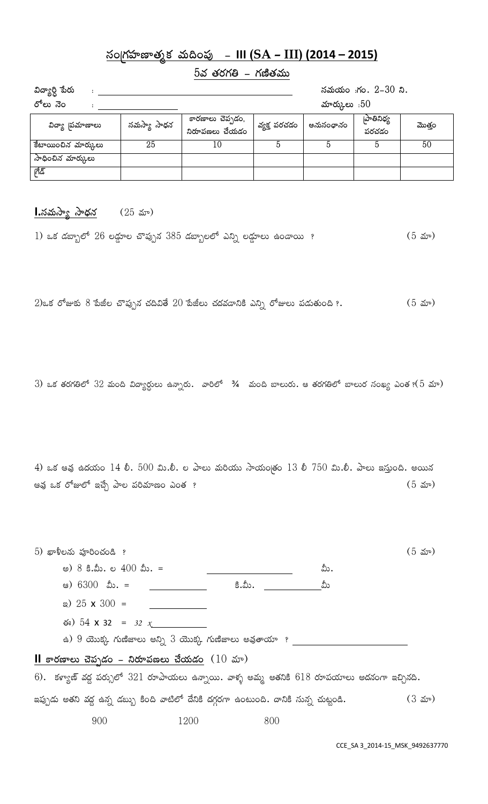# **¿xªZgâÝßéÇéyâWdâ Àâ°¬ª~ßó - III (SA – III) (2014 – 2015)**

## $5$ వ తరగతి – గణితము

| విద్యార్ధి పేరు     |             | సమయం :గం. 2-30 ని.                 |              |           |                    |        |
|---------------------|-------------|------------------------------------|--------------|-----------|--------------------|--------|
| రోలు నెం            |             | మార్కులు : $50$                    |              |           |                    |        |
| విద్యా 'పమాణాలు     | సమస్యా సాధన | కారణాలు చెప్పడం,<br>నిరూపణలు చేయడం | వ్యక్త పరచడం | అనుసంధానం | పాతినిధ్య<br>పరచడం | మొత్తం |
| కేటాయించిన మార్కులు | 25          | 10                                 |              | 5         |                    | 50     |
| సాధించిన మార్కులు   |             |                                    |              |           |                    |        |
| ಗೆಡಿ                |             |                                    |              |           |                    |        |

### **<u>I.సమస్యా సాధన</u> (25 మా)**

1) ఒక డబ్బాలో 26 లడ్డూల చొప్పున 385 డబ్బాలలో ఎన్ని లడ్డూలు ఉండాయి ? (5 మా)

 $2$ )ఒక రోజుకు  $8$  పేజీల చొప్పున చదివితే  $20$  పేజీలు చదవడానికి ఎన్ని రోజులు పడుతుంది ?.  $\hspace{1cm} (5 \hspace{1cm} 20^{\circ})$ 

3) ఒక తరగతిలో 32 మంది విద్యార్ధులు ఉన్నారు. వారిలో  $\frac{3}{4}$  మంది బాలురు. ఆ తరగతిలో బాలుర సంఖ్య ఎంత ?(5 మా)

4) ఒక ఆవు ఉదయం  $14$  లీ.  $500$  మి.లీ. ల పాలు మరియు సాయం[తం  $13$  లీ  $750$  మి.లీ. పాలు ఇస్తుంది. అయిన AÀâó adâ p¨mäȨ Eká+ ¹ÖÈ ~ßîÀâÃéǪ Uªyâ ? (5 ˉ̎)

| $5)$ ఖాళీలను పూరించండి ? |                                                                                                  |      |        |     | $(5 \; 20)$       |
|--------------------------|--------------------------------------------------------------------------------------------------|------|--------|-----|-------------------|
|                          | అ) $8$ కి.మీ. ల $400$ మీ. =                                                                      |      |        | మీ. |                   |
|                          | ఆ) 6300 మీ. = __                                                                                 |      | కి.మీ. | మీ  |                   |
|                          | a) $25 \times 300 =$                                                                             |      |        |     |                   |
|                          | $\approx$ 54 x 32 = 32 x                                                                         |      |        |     |                   |
|                          | ఉ) 9 యొక్క గుణిజాలు అన్ని 3 యొక్క గుణిజాలు అవుతాయా  ? _                                          |      |        |     |                   |
|                          | <b>II</b> కారణాలు చెప్పడం – నిరూపణలు చేయడం $(10 \text{ m})$                                      |      |        |     |                   |
|                          | 6). కళ్యాణ్ వద్ద పర్సులో $321$ రూపాయలు ఉన్నాయి. వాళ్ళ అమ్మ అతనికి $618$ రూపయాలు అదనంగా ఇచ్చినది. |      |        |     |                   |
|                          | ఇప్పుడు అతని వద్ద ఉన్న డబ్బు కింది వాటిలో దేనికి దగ్గరగా ఉంటుంది. దానికి సున్న చుట్టండి.         |      |        |     | $(3 \text{ str})$ |
|                          | 900                                                                                              | 1200 | 800    |     |                   |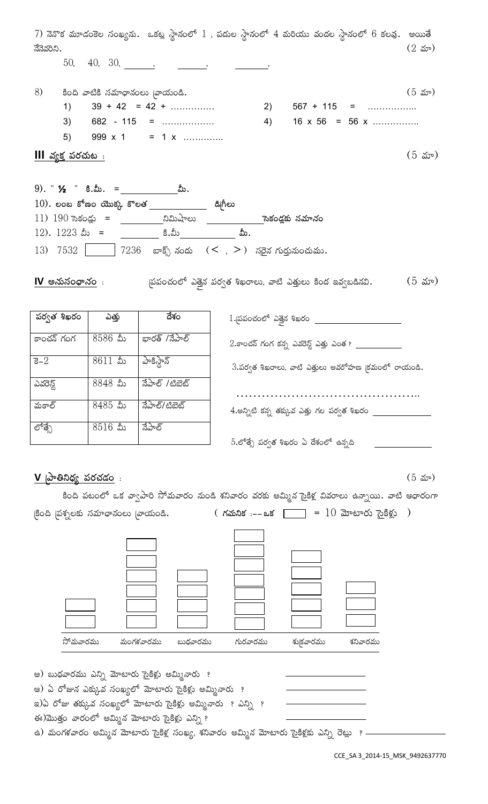| నేనెవరిని.                  |                                                   | 7) నెనొక మూడంకెల సంఖ్యను. ఒకట్ల స్థానంలో 1 , పదుల స్థానంలో 4 మరియు వందల స్థానంలో 6 కలవు. అయితే                                                                                                                                                                                                                                                                                                                                                                                                                                                                                                                                                 |          |                                                                    |                                                           | $(2 \del x)$      |
|-----------------------------|---------------------------------------------------|------------------------------------------------------------------------------------------------------------------------------------------------------------------------------------------------------------------------------------------------------------------------------------------------------------------------------------------------------------------------------------------------------------------------------------------------------------------------------------------------------------------------------------------------------------------------------------------------------------------------------------------------|----------|--------------------------------------------------------------------|-----------------------------------------------------------|-------------------|
|                             |                                                   | $50, 40, 30, \underline{\hspace{1cm}}, \underline{\hspace{1cm}}, \underline{\hspace{1cm}}, \underline{\hspace{1cm}}, \underline{\hspace{1cm}}, \underline{\hspace{1cm}}, \underline{\hspace{1cm}}, \underline{\hspace{1cm}}, \underline{\hspace{1cm}}, \underline{\hspace{1cm}}, \underline{\hspace{1cm}}, \underline{\hspace{1cm}}, \underline{\hspace{1cm}}, \underline{\hspace{1cm}}, \underline{\hspace{1cm}}, \underline{\hspace{1cm}}, \underline{\hspace{1cm}}, \underline{\hspace{1cm}}, \underline{\hspace{1cm}}, \underline{\hspace{1cm}}, \underline{\hspace{1cm}}, \underline{\hspace{1cm}}, \underline{\hspace{1cm}}, \underline$ |          |                                                                    |                                                           |                   |
|                             | $8$ ) కింది వాటికి సమాధానంలు <sub>(</sub> వాయండి. |                                                                                                                                                                                                                                                                                                                                                                                                                                                                                                                                                                                                                                                |          |                                                                    |                                                           | $(5 \text{ } 5)$  |
|                             |                                                   | 1) $39 + 42 = 42 + \dots$                                                                                                                                                                                                                                                                                                                                                                                                                                                                                                                                                                                                                      |          |                                                                    |                                                           |                   |
| 3)                          |                                                   | $682 - 115 =$                                                                                                                                                                                                                                                                                                                                                                                                                                                                                                                                                                                                                                  |          |                                                                    | 4) $16 \times 56 = 56 \times \dots \dots \dots \dots$     |                   |
|                             |                                                   | 5) $999 \times 1 = 1 \times \dots$                                                                                                                                                                                                                                                                                                                                                                                                                                                                                                                                                                                                             |          |                                                                    |                                                           |                   |
|                             |                                                   |                                                                                                                                                                                                                                                                                                                                                                                                                                                                                                                                                                                                                                                |          |                                                                    |                                                           |                   |
| <u>III వ్యక్త పరచుట :</u>   |                                                   |                                                                                                                                                                                                                                                                                                                                                                                                                                                                                                                                                                                                                                                |          |                                                                    |                                                           | $(5 \text{ } 5)$  |
|                             |                                                   |                                                                                                                                                                                                                                                                                                                                                                                                                                                                                                                                                                                                                                                |          |                                                                    |                                                           |                   |
|                             |                                                   | $10$ ). లంబ కోణం యొక్క కొలత _____________ డి[గీలు                                                                                                                                                                                                                                                                                                                                                                                                                                                                                                                                                                                              |          |                                                                    |                                                           |                   |
|                             |                                                   |                                                                                                                                                                                                                                                                                                                                                                                                                                                                                                                                                                                                                                                |          |                                                                    |                                                           |                   |
|                             |                                                   | 12). $1223$ మీ = ____________ కి.మీ________________ మీ.                                                                                                                                                                                                                                                                                                                                                                                                                                                                                                                                                                                        |          |                                                                    |                                                           |                   |
|                             |                                                   |                                                                                                                                                                                                                                                                                                                                                                                                                                                                                                                                                                                                                                                |          |                                                                    |                                                           |                   |
|                             |                                                   |                                                                                                                                                                                                                                                                                                                                                                                                                                                                                                                                                                                                                                                |          |                                                                    |                                                           | $(5 \text{ str})$ |
|                             |                                                   |                                                                                                                                                                                                                                                                                                                                                                                                                                                                                                                                                                                                                                                |          |                                                                    |                                                           |                   |
| పర్వత శిఖరం                 | ఎత్తు                                             | ಡೆಕಂ                                                                                                                                                                                                                                                                                                                                                                                                                                                                                                                                                                                                                                           |          |                                                                    | 1. పపంచంలో ఎత్తైన శిఖరం ______________________            |                   |
| కాంచన్ గంగ                  | $8586$ మీ                                         | భారత్ /నేపాల్                                                                                                                                                                                                                                                                                                                                                                                                                                                                                                                                                                                                                                  |          |                                                                    | $2.$ కాంచన్ గంగ కన్న ఎవరెన్ట్ ఎత్తు ఎంత ? _______________ |                   |
| ਤ $-2$                      | $8611$ మీ                                         | పాకిస్టాన్                                                                                                                                                                                                                                                                                                                                                                                                                                                                                                                                                                                                                                     |          |                                                                    | $3.$ పర్వత శిఖరాలు, వాటి ఎత్తులు అవరోహణ (కమంలో రాయండి.    |                   |
| _<br>ಎವೆರಸ್ಟ                | 8848 మీ                                           | ನೆಎಂಕ್ /ಟಿಪರ್ಟ್                                                                                                                                                                                                                                                                                                                                                                                                                                                                                                                                                                                                                                |          |                                                                    |                                                           |                   |
| మకాల్                       | $8485$ మీ                                         | నేపాల్/టిబెట్                                                                                                                                                                                                                                                                                                                                                                                                                                                                                                                                                                                                                                  |          | $4.$ అన్నిటి కన్న తక్కువ ఎత్తు గల పర్వత శిఖరం $\rule{1em}{0.15mm}$ |                                                           |                   |
| లోత్సే                      | $8516$ మీ                                         | నేపాల్                                                                                                                                                                                                                                                                                                                                                                                                                                                                                                                                                                                                                                         |          |                                                                    |                                                           |                   |
|                             |                                                   |                                                                                                                                                                                                                                                                                                                                                                                                                                                                                                                                                                                                                                                |          | 5.లోత్సే పర్వత శిఖరం ఏ దేశంలో ఉన్నది                               |                                                           |                   |
| <u>V  పాతినిధ్య పరచడం</u> : |                                                   |                                                                                                                                                                                                                                                                                                                                                                                                                                                                                                                                                                                                                                                |          |                                                                    |                                                           | $(5 \text{ str})$ |
|                             |                                                   |                                                                                                                                                                                                                                                                                                                                                                                                                                                                                                                                                                                                                                                |          |                                                                    |                                                           |                   |
|                             |                                                   | కింది పటంలో ఒక వ్వాపారి సోమవారం నుండి శనివారం వరకు అమ్మిన సైకిళ్ల వివరాలు ఉన్నాయి. వాటి ఆధారంగా                                                                                                                                                                                                                                                                                                                                                                                                                                                                                                                                                |          |                                                                    |                                                           |                   |
|                             |                                                   |                                                                                                                                                                                                                                                                                                                                                                                                                                                                                                                                                                                                                                                |          |                                                                    |                                                           |                   |
|                             |                                                   |                                                                                                                                                                                                                                                                                                                                                                                                                                                                                                                                                                                                                                                |          |                                                                    |                                                           |                   |
|                             |                                                   |                                                                                                                                                                                                                                                                                                                                                                                                                                                                                                                                                                                                                                                |          |                                                                    |                                                           |                   |
|                             |                                                   |                                                                                                                                                                                                                                                                                                                                                                                                                                                                                                                                                                                                                                                |          |                                                                    |                                                           |                   |
|                             |                                                   |                                                                                                                                                                                                                                                                                                                                                                                                                                                                                                                                                                                                                                                |          |                                                                    |                                                           |                   |
|                             |                                                   |                                                                                                                                                                                                                                                                                                                                                                                                                                                                                                                                                                                                                                                |          |                                                                    |                                                           |                   |
|                             |                                                   |                                                                                                                                                                                                                                                                                                                                                                                                                                                                                                                                                                                                                                                |          |                                                                    |                                                           |                   |
|                             |                                                   |                                                                                                                                                                                                                                                                                                                                                                                                                                                                                                                                                                                                                                                |          |                                                                    |                                                           |                   |
|                             | సోమవారము                                          | మంగళవారము<br>బుధవారము                                                                                                                                                                                                                                                                                                                                                                                                                                                                                                                                                                                                                          | గురవారము | శు(కవారము                                                          | శనివారము                                                  |                   |
|                             |                                                   |                                                                                                                                                                                                                                                                                                                                                                                                                                                                                                                                                                                                                                                |          |                                                                    |                                                           |                   |
|                             |                                                   | అ) బుధవారము ఎన్ని మోటారు సైకిళ్లు అమ్మినారు  ?                                                                                                                                                                                                                                                                                                                                                                                                                                                                                                                                                                                                 |          |                                                                    |                                                           |                   |
|                             |                                                   | ఆ) ఏ రోజున ఎక్కువ సంఖ్యలో మోటారు సైకిళ్లు అమ్మినారు  ?                                                                                                                                                                                                                                                                                                                                                                                                                                                                                                                                                                                         |          |                                                                    |                                                           |                   |
|                             |                                                   | ఇ)ఏ రోజు తక్కువ సంఖ్యలో మోటారు సైకిళ్లు అమ్మినారు  ? ఎన్ని  ?                                                                                                                                                                                                                                                                                                                                                                                                                                                                                                                                                                                  |          |                                                                    |                                                           |                   |
|                             |                                                   | ఈ)మొత్తం వారంలో అమ్మిన మోటారు సైకిళ్లు ఎన్ని ?<br>ఉ) మంగళవారం అమ్మిన మోటారు సైకిళ్ల సంఖ్య, శనివారం అమ్మిన మోటారు సైకిళ్లకు ఎన్ని రెట్లు  ? -                                                                                                                                                                                                                                                                                                                                                                                                                                                                                                   |          |                                                                    |                                                           |                   |
|                             |                                                   |                                                                                                                                                                                                                                                                                                                                                                                                                                                                                                                                                                                                                                                |          |                                                                    |                                                           |                   |

CCE\_SA 3\_2014-15\_MSK\_9492637770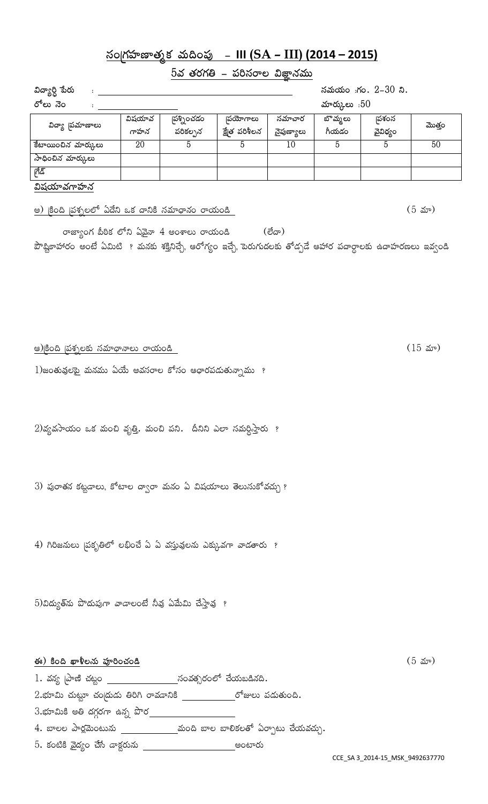# **¿xªZgâÝßéÇéyâWdâ Àâ°¬ª~ßó - III (SA – III) (2014 – 2015)**

# <u> 5వ తరగతి – పరిసరాల విజ్ఞానము</u>

| విద్యార్ది పేరు                                  | సమయం :గం. 2-30 ని. |                       |                          |                      |                  |                  |        |  |
|--------------------------------------------------|--------------------|-----------------------|--------------------------|----------------------|------------------|------------------|--------|--|
| రోలు నెం                                         |                    |                       |                          |                      | మార్కులు: $50$   |                  |        |  |
| విద్యా 'పమాణాలు                                  | విషయావ<br>గాహన     | పశ్నించడం<br>పరికల్పన | పయోగాలు<br>క్షేత పరిశీలన | సమాచార<br>నైపుణ్యాలు | బొమ్మలు<br>గీయడం | పశంస<br>వైవిధ్యం | మొత్తం |  |
| కేటాయించిన మార్కులు                              | 20                 | 5                     | 5                        | 10                   | 5                | 5                | 50     |  |
| సాధించిన మార్కులు                                |                    |                       |                          |                      |                  |                  |        |  |
| ಗೆಡಿ                                             |                    |                       |                          |                      |                  |                  |        |  |
| విషయావగాహన                                       |                    |                       |                          |                      |                  |                  |        |  |
| అ) కింది (పశ్చలలో ఏదేని ఒక దానికి సమాధానం రాయండి |                    |                       |                          |                      |                  |                  | (5 మా) |  |

రాజ్యాంగ పీఠిక లోని ఏవైనా  $4$  అంశాలు రాయండి $($ లేదా $)$ పౌష్టికాహారం అంటే ఏమిటి ? మనకు శక్తినిచ్చే, ఆరోగ్యం ఇచ్చే, పెరుగుదలకు తోడ్పడే ఆహార పదార్ధాలకు ఉదాహరణలు ఇవ్వండి

A)ZѪ¬ Z~ßµâQÈæ ¿xÀâÃé|Ö×ÖȰ pÖÎâ°ªÚ (15 ˉ̎)

 $1$ )జంతువులపై మనము ఏయే అవసరాల కోసం ఆధారపడుతున్నాము ?

 $2)$ వ్యవసాయం ఒక మంచి వృత్తి. మంచి పని. దీనిని ఎలా సమర్దిస్తారు ?

3) పురాతన కట్టడాలు, కోటాల ద్వారా మనం ఏ విషయాలు తెలుసుకోవచ్చు ?

4) గిరిజనులు (పకృతిలో లభించే ఏ ఏ వస్తువులను ఎక్కువగా వాడతారు ?

 $5$ )విద్యుత్సు పొదుపుగా వాడాలంటే నీవు ఏమేమి చేస్తావు  $\,$  ?

**ఈ**) కింది ఖాళీలను పూరించండి **6 కథలో కోసం కోసం కోసం కోసం కోసం కోసం కోసం** (5 మా)  $1.$  వన్య [పాణి చట్టం  $\begin{array}{r} \_ \text{1.} \end{array}$  చంవత్సరంలో చేయబడినది.  $2.\,$ భూమి చుట్టూ చందుడు తిరిగి రావడానికి  $\_\_\_\_\_$ రోజులు పడుతుంది.  $3.\overline{\textrm{km}}$ మికి అతి దగ్గరగా ఉన్న పొర $\underline{\hspace{1.5cm}1\,}$  $4.$  బాలల పార్లమెంటును  $\underbrace{\qquad \qquad \qquad }$ మంది బాల బాలికలతో ఏర్పాటు చేయవచ్చు.  $5.$  కంటికి వైద్యం చేసే డాక్టరును  $\begin{array}{c|c} - \hline \end{array}$ ు అంటారు